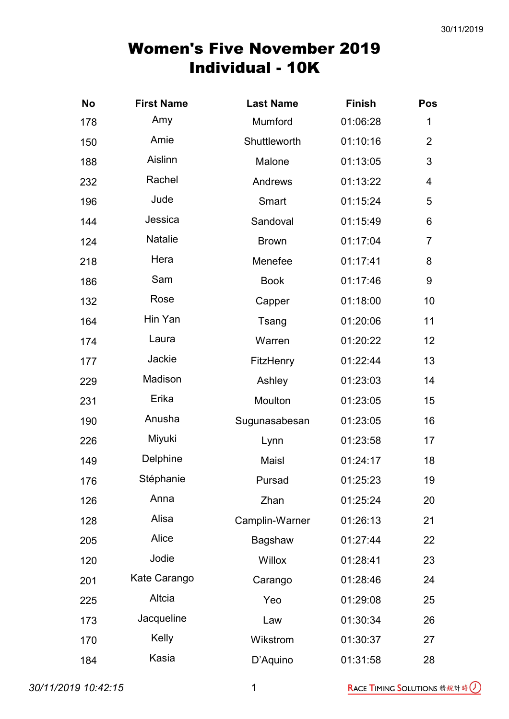| <b>No</b> | <b>First Name</b> | <b>Last Name</b> | <b>Finish</b> | Pos            |
|-----------|-------------------|------------------|---------------|----------------|
| 178       | Amy               | Mumford          | 01:06:28      | 1              |
| 150       | Amie              | Shuttleworth     | 01:10:16      | $\overline{2}$ |
| 188       | Aislinn           | Malone           | 01:13:05      | 3              |
| 232       | Rachel            | Andrews          | 01:13:22      | 4              |
| 196       | Jude              | Smart            | 01:15:24      | 5              |
| 144       | Jessica           | Sandoval         | 01:15:49      | 6              |
| 124       | <b>Natalie</b>    | <b>Brown</b>     | 01:17:04      | $\overline{7}$ |
| 218       | Hera              | Menefee          | 01:17:41      | 8              |
| 186       | Sam               | <b>Book</b>      | 01:17:46      | $9$            |
| 132       | Rose              | Capper           | 01:18:00      | 10             |
| 164       | Hin Yan           | Tsang            | 01:20:06      | 11             |
| 174       | Laura             | Warren           | 01:20:22      | 12             |
| 177       | Jackie            | <b>FitzHenry</b> | 01:22:44      | 13             |
| 229       | Madison           | Ashley           | 01:23:03      | 14             |
| 231       | Erika             | Moulton          | 01:23:05      | 15             |
| 190       | Anusha            | Sugunasabesan    | 01:23:05      | 16             |
| 226       | Miyuki            | Lynn             | 01:23:58      | 17             |
| 149       | Delphine          | Maisl            | 01:24:17      | 18             |
| 176       | Stéphanie         | Pursad           | 01:25:23      | 19             |
| 126       | Anna              | Zhan             | 01:25:24      | 20             |
| 128       | Alisa             | Camplin-Warner   | 01:26:13      | 21             |
| 205       | Alice             | Bagshaw          | 01:27:44      | 22             |
| 120       | Jodie             | <b>Willox</b>    | 01:28:41      | 23             |
| 201       | Kate Carango      | Carango          | 01:28:46      | 24             |
| 225       | Altcia            | Yeo              | 01:29:08      | 25             |
| 173       | Jacqueline        | Law              | 01:30:34      | 26             |
| 170       | Kelly             | Wikstrom         | 01:30:37      | 27             |
| 184       | Kasia             | D'Aquino         | 01:31:58      | 28             |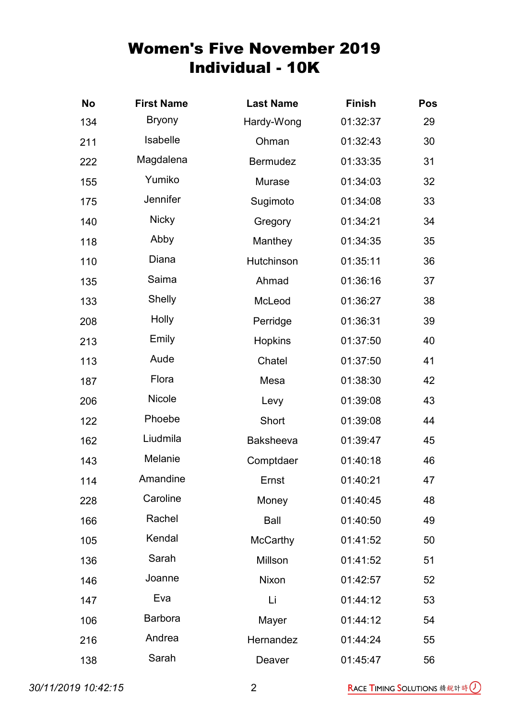| <b>No</b> | <b>First Name</b> | <b>Last Name</b> | <b>Finish</b> | <b>Pos</b> |
|-----------|-------------------|------------------|---------------|------------|
| 134       | <b>Bryony</b>     | Hardy-Wong       | 01:32:37      | 29         |
| 211       | Isabelle          | Ohman            | 01:32:43      | 30         |
| 222       | Magdalena         | <b>Bermudez</b>  | 01:33:35      | 31         |
| 155       | Yumiko            | Murase           | 01:34:03      | 32         |
| 175       | Jennifer          | Sugimoto         | 01:34:08      | 33         |
| 140       | <b>Nicky</b>      | Gregory          | 01:34:21      | 34         |
| 118       | Abby              | Manthey          | 01:34:35      | 35         |
| 110       | Diana             | Hutchinson       | 01:35:11      | 36         |
| 135       | Saima             | Ahmad            | 01:36:16      | 37         |
| 133       | Shelly            | McLeod           | 01:36:27      | 38         |
| 208       | <b>Holly</b>      | Perridge         | 01:36:31      | 39         |
| 213       | Emily             | <b>Hopkins</b>   | 01:37:50      | 40         |
| 113       | Aude              | Chatel           | 01:37:50      | 41         |
| 187       | Flora             | Mesa             | 01:38:30      | 42         |
| 206       | Nicole            | Levy             | 01:39:08      | 43         |
| 122       | Phoebe            | Short            | 01:39:08      | 44         |
| 162       | Liudmila          | <b>Baksheeva</b> | 01:39:47      | 45         |
| 143       | Melanie           | Comptdaer        | 01:40:18      | 46         |
| 114       | Amandine          | Ernst            | 01:40:21      | 47         |
| 228       | Caroline          | Money            | 01:40:45      | 48         |
| 166       | Rachel            | Ball             | 01:40:50      | 49         |
| 105       | Kendal            | <b>McCarthy</b>  | 01:41:52      | 50         |
| 136       | Sarah             | Millson          | 01:41:52      | 51         |
| 146       | Joanne            | Nixon            | 01:42:57      | 52         |
| 147       | Eva               | Li               | 01:44:12      | 53         |
| 106       | <b>Barbora</b>    | Mayer            | 01:44:12      | 54         |
| 216       | Andrea            | Hernandez        | 01:44:24      | 55         |
| 138       | Sarah             | Deaver           | 01:45:47      | 56         |

30/11/2019 10:42:15 2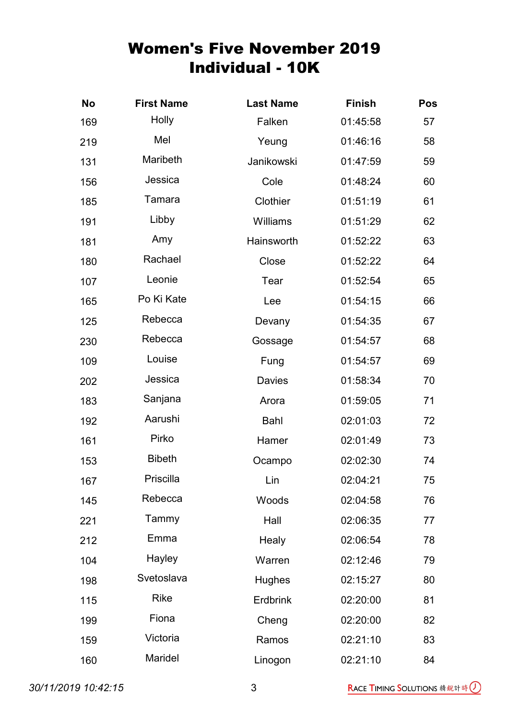| <b>No</b> | <b>First Name</b> | <b>Last Name</b> | <b>Finish</b> | <b>Pos</b> |
|-----------|-------------------|------------------|---------------|------------|
| 169       | Holly             | Falken           | 01:45:58      | 57         |
| 219       | Mel               | Yeung            | 01:46:16      | 58         |
| 131       | Maribeth          | Janikowski       | 01:47:59      | 59         |
| 156       | Jessica           | Cole             | 01:48:24      | 60         |
| 185       | Tamara            | Clothier         | 01:51:19      | 61         |
| 191       | Libby             | Williams         | 01:51:29      | 62         |
| 181       | Amy               | Hainsworth       | 01:52:22      | 63         |
| 180       | Rachael           | Close            | 01:52:22      | 64         |
| 107       | Leonie            | Tear             | 01:52:54      | 65         |
| 165       | Po Ki Kate        | Lee              | 01:54:15      | 66         |
| 125       | Rebecca           | Devany           | 01:54:35      | 67         |
| 230       | Rebecca           | Gossage          | 01:54:57      | 68         |
| 109       | Louise            | Fung             | 01:54:57      | 69         |
| 202       | Jessica           | <b>Davies</b>    | 01:58:34      | 70         |
| 183       | Sanjana           | Arora            | 01:59:05      | 71         |
| 192       | Aarushi           | Bahl             | 02:01:03      | 72         |
| 161       | Pirko             | Hamer            | 02:01:49      | 73         |
| 153       | <b>Bibeth</b>     | Ocampo           | 02:02:30      | 74         |
| 167       | Priscilla         | Lin              | 02:04:21      | 75         |
| 145       | Rebecca           | Woods            | 02:04:58      | 76         |
| 221       | Tammy             | Hall             | 02:06:35      | 77         |
| 212       | Emma              | Healy            | 02:06:54      | 78         |
| 104       | Hayley            | Warren           | 02:12:46      | 79         |
| 198       | Svetoslava        | <b>Hughes</b>    | 02:15:27      | 80         |
| 115       | <b>Rike</b>       | <b>Erdbrink</b>  | 02:20:00      | 81         |
| 199       | Fiona             | Cheng            | 02:20:00      | 82         |
| 159       | Victoria          | Ramos            | 02:21:10      | 83         |
| 160       | Maridel           | Linogon          | 02:21:10      | 84         |

30/11/2019 10:42:15 3